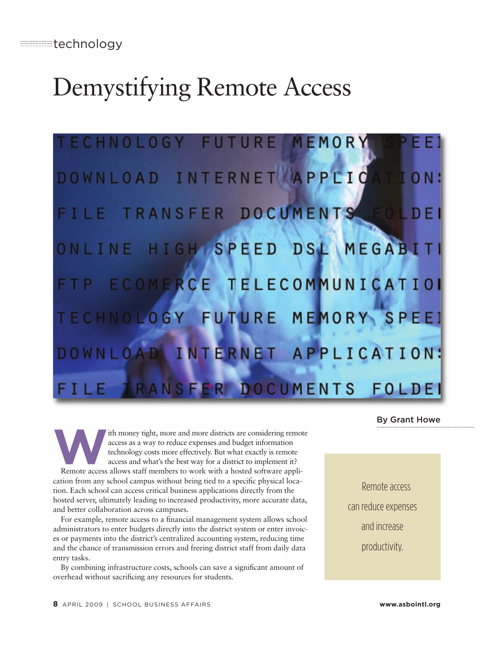# Demystifying Remote Access



**With money tight, more and more districts are considering remote**<br>access as a way to reduce expenses and budget information<br>technology costs more effectively. But what exactly is remote<br>access and what's the best way for access as a way to reduce expenses and budget information technology costs more effectively. But what exactly is remote access and what's the best way for a district to implement it? cation from any school campus without being tied to a specific physical location. Each school can access critical business applications directly from the hosted server, ultimately leading to increased productivity, more accurate data, and better collaboration across campuses.

For example, remote access to a financial management system allows school administrators to enter budgets directly into the district system or enter invoices or payments into the district's centralized accounting system, reducing time and the chance of transmission errors and freeing district staff from daily data entry tasks.

By combining infrastructure costs, schools can save a significant amount of overhead without sacrificing any resources for students.

## By Grant Howe

Remote access can reduce expenses and increase productivity.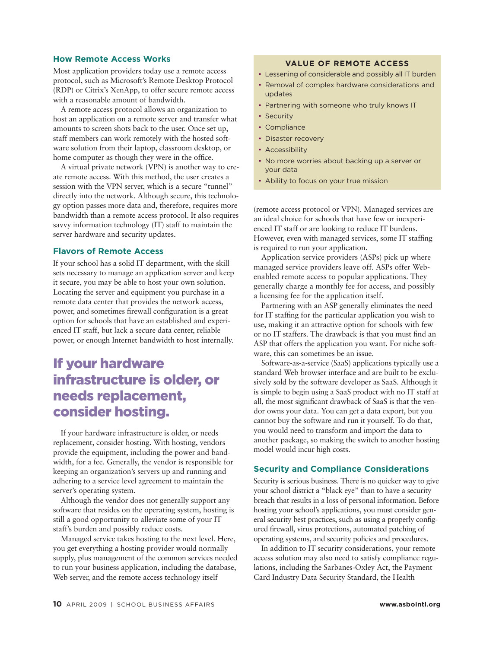#### **How Remote Access Works**

Most application providers today use a remote access protocol, such as Microsoft's Remote Desktop Protocol (RDP) or Citrix's XenApp, to offer secure remote access with a reasonable amount of bandwidth.

A remote access protocol allows an organization to host an application on a remote server and transfer what amounts to screen shots back to the user. Once set up, staff members can work remotely with the hosted software solution from their laptop, classroom desktop, or home computer as though they were in the office.

A virtual private network (VPN) is another way to create remote access. With this method, the user creates a session with the VPN server, which is a secure "tunnel" directly into the network. Although secure, this technology option passes more data and, therefore, requires more bandwidth than a remote access protocol. It also requires savvy information technology (IT) staff to maintain the server hardware and security updates.

#### **Flavors of Remote Access**

If your school has a solid IT department, with the skill sets necessary to manage an application server and keep it secure, you may be able to host your own solution. Locating the server and equipment you purchase in a remote data center that provides the network access, power, and sometimes firewall configuration is a great option for schools that have an established and experienced IT staff, but lack a secure data center, reliable power, or enough Internet bandwidth to host internally.

## If your hardware infrastructure is older, or needs replacement, consider hosting.

If your hardware infrastructure is older, or needs replacement, consider hosting. With hosting, vendors provide the equipment, including the power and bandwidth, for a fee. Generally, the vendor is responsible for keeping an organization's servers up and running and adhering to a service level agreement to maintain the server's operating system.

Although the vendor does not generally support any software that resides on the operating system, hosting is still a good opportunity to alleviate some of your IT staff's burden and possibly reduce costs.

Managed service takes hosting to the next level. Here, you get everything a hosting provider would normally supply, plus management of the common services needed to run your business application, including the database, Web server, and the remote access technology itself

#### **VALUE OF REMOTE ACCESS**

- Lessening of considerable and possibly all IT burden
- Removal of complex hardware considerations and updates
- Partnering with someone who truly knows IT
- Security
- Compliance
- Disaster recovery
- Accessibility
- No more worries about backing up a server or your data
- Ability to focus on your true mission

(remote access protocol or VPN). Managed services are an ideal choice for schools that have few or inexperienced IT staff or are looking to reduce IT burdens. However, even with managed services, some IT staffing is required to run your application.

Application service providers (ASPs) pick up where managed service providers leave off. ASPs offer Webenabled remote access to popular applications. They generally charge a monthly fee for access, and possibly a licensing fee for the application itself.

Partnering with an ASP generally eliminates the need for IT staffing for the particular application you wish to use, making it an attractive option for schools with few or no IT staffers. The drawback is that you must find an ASP that offers the application you want. For niche software, this can sometimes be an issue.

Software-as-a-service (SaaS) applications typically use a standard Web browser interface and are built to be exclusively sold by the software developer as SaaS. Although it is simple to begin using a SaaS product with no IT staff at all, the most significant drawback of SaaS is that the vendor owns your data. You can get a data export, but you cannot buy the software and run it yourself. To do that, you would need to transform and import the data to another package, so making the switch to another hosting model would incur high costs.

#### **Security and Compliance Considerations**

Security is serious business. There is no quicker way to give your school district a "black eye" than to have a security breach that results in a loss of personal information. Before hosting your school's applications, you must consider general security best practices, such as using a properly configured firewall, virus protections, automated patching of operating systems, and security policies and procedures.

In addition to IT security considerations, your remote access solution may also need to satisfy compliance regulations, including the Sarbanes-Oxley Act, the Payment Card Industry Data Security Standard, the Health